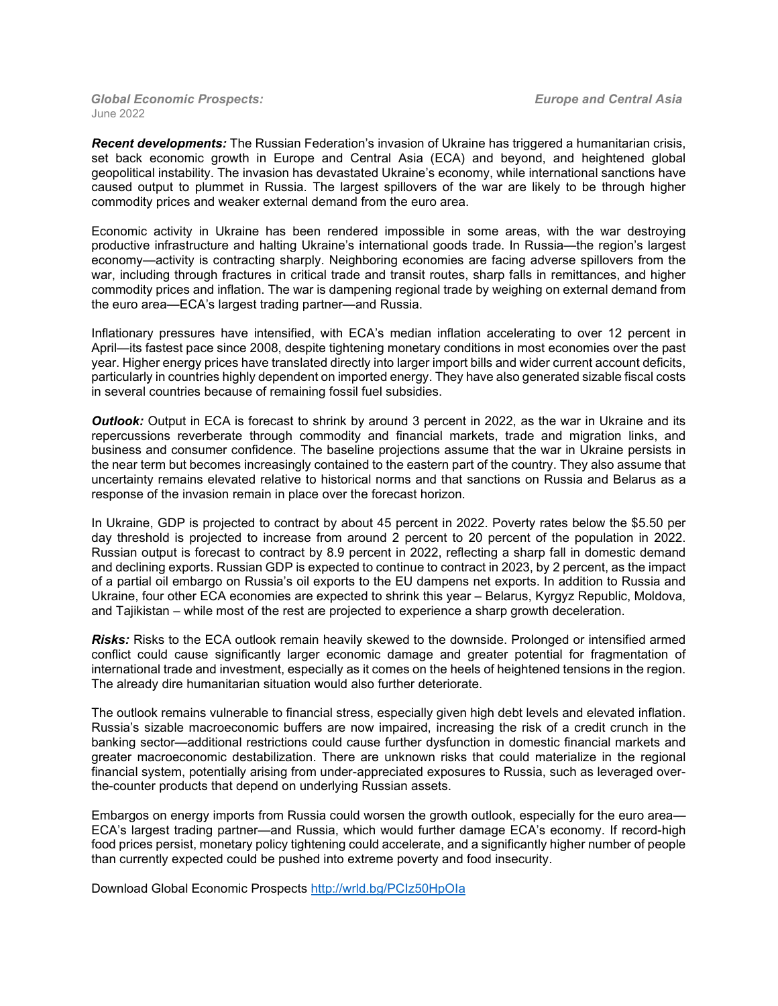*Global Economic Prospects: Europe and Central Asia* June 2022

*Recent developments:* The Russian Federation's invasion of Ukraine has triggered a humanitarian crisis, set back economic growth in Europe and Central Asia (ECA) and beyond, and heightened global geopolitical instability. The invasion has devastated Ukraine's economy, while international sanctions have caused output to plummet in Russia. The largest spillovers of the war are likely to be through higher commodity prices and weaker external demand from the euro area.

Economic activity in Ukraine has been rendered impossible in some areas, with the war destroying productive infrastructure and halting Ukraine's international goods trade. In Russia—the region's largest economy—activity is contracting sharply. Neighboring economies are facing adverse spillovers from the war, including through fractures in critical trade and transit routes, sharp falls in remittances, and higher commodity prices and inflation. The war is dampening regional trade by weighing on external demand from the euro area—ECA's largest trading partner—and Russia.

Inflationary pressures have intensified, with ECA's median inflation accelerating to over 12 percent in April—its fastest pace since 2008, despite tightening monetary conditions in most economies over the past year. Higher energy prices have translated directly into larger import bills and wider current account deficits, particularly in countries highly dependent on imported energy. They have also generated sizable fiscal costs in several countries because of remaining fossil fuel subsidies.

**Outlook:** Output in ECA is forecast to shrink by around 3 percent in 2022, as the war in Ukraine and its repercussions reverberate through commodity and financial markets, trade and migration links, and business and consumer confidence. The baseline projections assume that the war in Ukraine persists in the near term but becomes increasingly contained to the eastern part of the country. They also assume that uncertainty remains elevated relative to historical norms and that sanctions on Russia and Belarus as a response of the invasion remain in place over the forecast horizon.

In Ukraine, GDP is projected to contract by about 45 percent in 2022. Poverty rates below the \$5.50 per day threshold is projected to increase from around 2 percent to 20 percent of the population in 2022. Russian output is forecast to contract by 8.9 percent in 2022, reflecting a sharp fall in domestic demand and declining exports. Russian GDP is expected to continue to contract in 2023, by 2 percent, as the impact of a partial oil embargo on Russia's oil exports to the EU dampens net exports. In addition to Russia and Ukraine, four other ECA economies are expected to shrink this year – Belarus, Kyrgyz Republic, Moldova, and Tajikistan – while most of the rest are projected to experience a sharp growth deceleration.

*Risks:* Risks to the ECA outlook remain heavily skewed to the downside. Prolonged or intensified armed conflict could cause significantly larger economic damage and greater potential for fragmentation of international trade and investment, especially as it comes on the heels of heightened tensions in the region. The already dire humanitarian situation would also further deteriorate.

The outlook remains vulnerable to financial stress, especially given high debt levels and elevated inflation. Russia's sizable macroeconomic buffers are now impaired, increasing the risk of a credit crunch in the banking sector—additional restrictions could cause further dysfunction in domestic financial markets and greater macroeconomic destabilization. There are unknown risks that could materialize in the regional financial system, potentially arising from under-appreciated exposures to Russia, such as leveraged overthe-counter products that depend on underlying Russian assets.

Embargos on energy imports from Russia could worsen the growth outlook, especially for the euro area— ECA's largest trading partner—and Russia, which would further damage ECA's economy. If record-high food prices persist, monetary policy tightening could accelerate, and a significantly higher number of people than currently expected could be pushed into extreme poverty and food insecurity.

Download Global Economic Prospects <http://wrld.bg/PCIz50HpOIa>